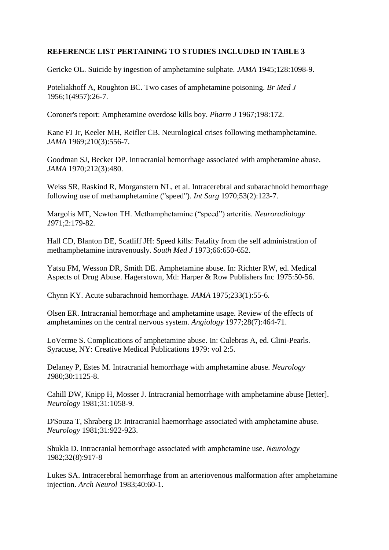## **REFERENCE LIST PERTAINING TO STUDIES INCLUDED IN TABLE 3**

Gericke OL. Suicide by ingestion of amphetamine sulphate. *JAMA* 1945;128:1098-9.

[Poteliakhoff A,](https://www.ncbi.nlm.nih.gov/pubmed/?term=POTELIAKHOFF%20A%5BAuthor%5D&cauthor=true&cauthor_uid=13269944) [Roughton BC.](https://www.ncbi.nlm.nih.gov/pubmed/?term=ROUGHTON%20BC%5BAuthor%5D&cauthor=true&cauthor_uid=13269944) Two cases of amphetamine poisoning. *[Br Med J](https://www.ncbi.nlm.nih.gov/pubmed/?term=Poteliakhoff+A+roughton)* 1956;1(4957):26-7.

Coroner's report: Amphetamine overdose kills boy. *Pharm J* 1967;198:172.

Kane FJ Jr, Keeler MH, Reifler CB. [Neurological crises following methamphetamine.](https://www.ncbi.nlm.nih.gov/pubmed/4980784) *JAMA* 1969;210(3):556-7.

Goodman SJ, Becker DP. [Intracranial hemorrhage associated with amphetamine abuse.](https://www.ncbi.nlm.nih.gov/pubmed/5467302) *JAMA* 1970;212(3):480.

Weiss SR, Raskind R, Morganstern NL, et al. [Intracerebral and subarachnoid hemorrhage](https://www.ncbi.nlm.nih.gov/pubmed/5416024)  [following use of methamphetamine \("speed"\).](https://www.ncbi.nlm.nih.gov/pubmed/5416024) *Int Surg* 1970;53(2):123-7.

Margolis MT, Newton TH. Methamphetamine ("speed") arteritis. *Neuroradiology 1*971;2:179-82.

Hall CD, Blanton DE, Scatliff JH: Speed kills: Fatality from the self administration of methamphetamine intravenously. *South Med J* 1973;66:650-652.

Yatsu FM, Wesson DR, Smith DE. Amphetamine abuse. In: Richter RW, ed. Medical Aspects of Drug Abuse. Hagerstown, Md: Harper & Row Publishers Inc 1975:50-56.

Chynn KY. [Acute subarachnoid hemorrhage.](https://www.ncbi.nlm.nih.gov/pubmed/1173423) *JAMA* 1975;233(1):55-6.

Olsen ER. Intracranial hemorrhage and amphetamine usage. Review of the effects of amphetamines on the central nervous system. *Angiology* 1977;28(7):464-71.

LoVerme S. Complications of amphetamine abuse. In: Culebras A, ed. Clini-Pearls. Syracuse, NY: Creative Medical Publications 1979: vol 2:5.

Delaney P, Estes M. Intracranial hemorrhage with amphetamine abuse. *Neurology 1*980;30:1125-8.

Cahill DW, Knipp H, Mosser J. Intracranial hemorrhage with amphetamine abuse [letter]. *Neurology* 1981;31:1058-9.

D'Souza T, Shraberg D: Intracranial haemorrhage associated with amphetamine abuse. *Neurology* 1981;31:922-923.

Shukla D. Intracranial hemorrhage [associated with amphetamine use.](https://www.ncbi.nlm.nih.gov/pubmed/7201592) *Neurology* 1982;32(8):917-8

Lukes SA. Intracerebral hemorrhage from an arteriovenous malformation after amphetamine injection. *Arch Neurol* 1983;40:60-1.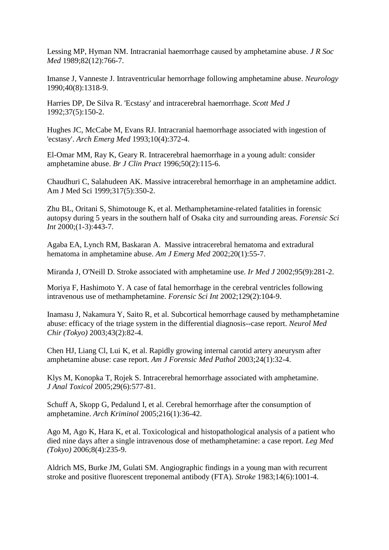[Lessing MP,](https://www.ncbi.nlm.nih.gov/pubmed/?term=Lessing%20MP%5BAuthor%5D&cauthor=true&cauthor_uid=2614776) [Hyman NM.](https://www.ncbi.nlm.nih.gov/pubmed/?term=Hyman%20NM%5BAuthor%5D&cauthor=true&cauthor_uid=2614776) Intracranial haemorrhage caused by amphetamine abuse. *J R Soc Med* 1989;82(12):766-7.

[Imanse](https://www.ncbi.nlm.nih.gov/pubmed/?term=Imanse%20J%5BAuthor%5D&cauthor=true&cauthor_uid=2381547) J, [Vanneste](https://www.ncbi.nlm.nih.gov/pubmed/?term=Vanneste%20J%5BAuthor%5D&cauthor=true&cauthor_uid=2381547) J. Intraventricular hemorrhage following amphetamine abuse. *[Neurology](https://www.ncbi.nlm.nih.gov/pubmed/?term=imanse+vanneste+haemorrhage)* 1990;40(8):1318-9.

[Harries DP,](https://www.ncbi.nlm.nih.gov/pubmed/?term=Harries%20DP%5BAuthor%5D&cauthor=true&cauthor_uid=1492208) [De Silva R.](https://www.ncbi.nlm.nih.gov/pubmed/?term=De%20Silva%20R%5BAuthor%5D&cauthor=true&cauthor_uid=1492208) 'Ecstasy' and intracerebral haemorrhage. *[Scott Med J](https://www.ncbi.nlm.nih.gov/pubmed/?term=harries+dp++haemorrhage)* 1992;37(5):150-2.

[Hughes JC,](https://www.ncbi.nlm.nih.gov/pubmed/?term=Hughes%20JC%5BAuthor%5D&cauthor=true&cauthor_uid=7906517) [McCabe M,](https://www.ncbi.nlm.nih.gov/pubmed/?term=McCabe%20M%5BAuthor%5D&cauthor=true&cauthor_uid=7906517) [Evans RJ.](https://www.ncbi.nlm.nih.gov/pubmed/?term=Evans%20RJ%5BAuthor%5D&cauthor=true&cauthor_uid=7906517) Intracranial haemorrhage associated with ingestion of 'ecstasy'. *[Arch Emerg Med](https://www.ncbi.nlm.nih.gov/pubmed/?term=hughes+jc+evans+haemorrhage)* 1993;10(4):372-4.

El-Omar MM, Ray K, Geary R. [Intracerebral haemorrhage](https://www.ncbi.nlm.nih.gov/pubmed/8731653) in a young adult: consider [amphetamine abuse.](https://www.ncbi.nlm.nih.gov/pubmed/8731653) *Br J Clin Pract* 1996;50(2):115-6.

Chaudhuri C, Salahudeen AK. [Massive intracerebral hemorrhage](https://www.ncbi.nlm.nih.gov/pubmed/10334124) in an amphetamine addict. Am J Med Sci 1999;317(5):350-2.

Zhu BL, Oritani S, Shimotouge K, et al. Methamphetamine-related fatalities in forensic autopsy during 5 years in the southern half of Osaka city and surrounding areas. *Forensic Sci Int* 2000;(1-3):443-7.

[Agaba EA,](https://www.ncbi.nlm.nih.gov/pubmed/?term=Agaba%20EA%5BAuthor%5D&cauthor=true&cauthor_uid=11781916) [Lynch](https://www.ncbi.nlm.nih.gov/pubmed/?term=Lynch%20RM%5BAuthor%5D&cauthor=true&cauthor_uid=11781916) RM, [Baskaran A.](https://www.ncbi.nlm.nih.gov/pubmed/?term=Baskaran%20A%5BAuthor%5D&cauthor=true&cauthor_uid=11781916) Massive intracerebral hematoma and extradural hematoma in amphetamine abuse. *[Am J Emerg Med](https://www.ncbi.nlm.nih.gov/pubmed/?term=agaba+ea+lynch+heamorrhage)* 2002;20(1):55-7.

[Miranda J,](https://www.ncbi.nlm.nih.gov/pubmed/?term=Miranda%20J%5BAuthor%5D&cauthor=true&cauthor_uid=12470006) [O'Neill](https://www.ncbi.nlm.nih.gov/pubmed/?term=O) D. Stroke associated with amphetamine use. *[Ir Med J](https://www.ncbi.nlm.nih.gov/pubmed/?term=miranda+j+o)* 2002;95(9):281-2.

Moriya F, Hashimoto Y. A case of fatal hemorrhage [in the cerebral ventricles following](https://www.ncbi.nlm.nih.gov/pubmed/12243878)  [intravenous use of methamphetamine.](https://www.ncbi.nlm.nih.gov/pubmed/12243878) *Forensic Sci Int* 2002;129(2):104-9.

Inamasu J, Nakamura Y, Saito R, et al. [Subcortical hemorrhage caused by methamphetamine](https://www.ncbi.nlm.nih.gov/pubmed/12627885)  [abuse: efficacy of the triage system in the differential diagnosis--case report.](https://www.ncbi.nlm.nih.gov/pubmed/12627885) *Neurol Med Chir (Tokyo)* 2003;43(2):82-4.

Chen HJ, Liang Cl, Lui K, et al. Rapidly growing internal carotid artery aneurysm after amphetamine abuse: case report. *Am J Forensic Med Pathol* 2003;24(1):32-4.

Klys M, Konopka T, Rojek S. [Intracerebral hemorrhage associated with amphetamine.](https://www.ncbi.nlm.nih.gov/pubmed/16168183) *J Anal Toxicol* 2005;29(6):577-81.

Schuff A, Skopp G, Pedalund I, et al. Cerebral hemorrhage after the consumption of amphetamine. *Arch Kriminol* 2005;216(1):36-42.

Ago M, Ago K, Hara K, et al. [Toxicological and histopathological analysis of a patient who](https://www.ncbi.nlm.nih.gov/pubmed/16793314)  [died nine days after a single intravenous dose of methamphetamine: a case report.](https://www.ncbi.nlm.nih.gov/pubmed/16793314) *Leg Med (Tokyo)* 2006;8(4):235-9.

[Aldrich MS,](https://www.ncbi.nlm.nih.gov/pubmed/?term=Aldrich%20MS%5BAuthor%5D&cauthor=true&cauthor_uid=6362093) [Burke JM,](https://www.ncbi.nlm.nih.gov/pubmed/?term=Burke%20JM%5BAuthor%5D&cauthor=true&cauthor_uid=6362093) [Gulati SM.](https://www.ncbi.nlm.nih.gov/pubmed/?term=Gulati%20SM%5BAuthor%5D&cauthor=true&cauthor_uid=6362093) Angiographic findings in a young man with recurrent stroke and positive fluorescent treponemal antibody (FTA). *[Stroke](https://www.ncbi.nlm.nih.gov/pubmed/?term=aldrich+ms+burke)* 1983;14(6):1001-4.